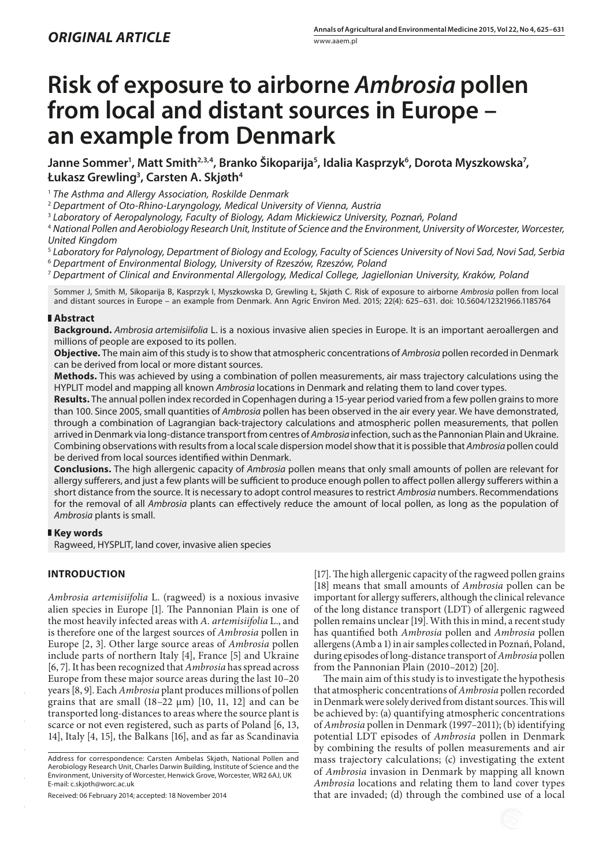# **Risk of exposure to airborne** *Ambrosia* **pollen from local and distant sources in Europe – an example from Denmark**

Janne Sommer<sup>1</sup>, Matt Smith<sup>2,3,4</sup>, Branko Šikoparija<sup>5</sup>, Idalia Kasprzyk<sup>6</sup>, Dorota Myszkowska<sup>7</sup>, **Łukasz Grewling3 , Carsten A. Skjøth4**

<sup>1</sup> *The Asthma and Allergy Association, Roskilde Denmark*

<sup>2</sup> *Department of Oto-Rhino-Laryngology, Medical University of Vienna, Austria*

<sup>3</sup> *Laboratory of Aeropalynology, Faculty of Biology, Adam Mickiewicz University, Poznań, Poland*

<sup>4</sup> *National Pollen and Aerobiology Research Unit, Institute of Science and the Environment, University of Worcester, Worcester, United Kingdom*

<sup>5</sup> *Laboratory for Palynology, Department of Biology and Ecology, Faculty of Sciences University of Novi Sad, Novi Sad, Serbia* <sup>6</sup> *Department of Environmental Biology, University of Rzeszów, Rzeszów, Poland*

<sup>7</sup> *Department of Clinical and Environmental Allergology, Medical College, Jagiellonian University, Kraków, Poland*

Sommer J, Smith M, Sikoparija B, Kasprzyk I, Myszkowska D, Grewling Ł, Skjøth C. Risk of exposure to airborne *Ambrosia* pollen from local and distant sources in Europe – an example from Denmark. Ann Agric Environ Med. 2015; 22(4): 625–631. doi: 10.5604/12321966.1185764

## **Abstract**

**Background.** *Ambrosia artemisiifolia* L. is a noxious invasive alien species in Europe. It is an important aeroallergen and millions of people are exposed to its pollen.

**Objective.** The main aim of this study is to show that atmospheric concentrations of *Ambrosia* pollen recorded in Denmark can be derived from local or more distant sources.

**Methods.** This was achieved by using a combination of pollen measurements, air mass trajectory calculations using the HYPLIT model and mapping all known *Ambrosia* locations in Denmark and relating them to land cover types.

**Results.** The annual pollen index recorded in Copenhagen during a 15-year period varied from a few pollen grains to more than 100. Since 2005, small quantities of *Ambrosia* pollen has been observed in the air every year. We have demonstrated, through a combination of Lagrangian back-trajectory calculations and atmospheric pollen measurements, that pollen arrived in Denmark via long-distance transport from centres of *Ambrosia* infection, such as the Pannonian Plain and Ukraine. Combining observations with results from a local scale dispersion model show that it is possible that *Ambrosia* pollen could be derived from local sources identified within Denmark.

**Conclusions.** The high allergenic capacity of *Ambrosia* pollen means that only small amounts of pollen are relevant for allergy sufferers, and just a few plants will be sufficient to produce enough pollen to affect pollen allergy sufferers within a short distance from the source. It is necessary to adopt control measures to restrict *Ambrosia* numbers. Recommendations for the removal of all *Ambrosia* plants can effectively reduce the amount of local pollen, as long as the population of *Ambrosia* plants is small.

## **Key words**

Ragweed, HYSPLIT, land cover, invasive alien species

## **INTRODUCTION**

*Ambrosia artemisiifolia* L. (ragweed) is a noxious invasive alien species in Europe [1]. The Pannonian Plain is one of the most heavily infected areas with *A. artemisiifolia* L., and is therefore one of the largest sources of *Ambrosia* pollen in Europe [2, 3]. Other large source areas of *Ambrosia* pollen include parts of northern Italy [4], France [5] and Ukraine [6, 7]. It has been recognized that *Ambrosia* has spread across Europe from these major source areas during the last 10–20 years [8, 9]. Each *Ambrosia* plant produces millions of pollen grains that are small (18–22 μm) [10, 11, 12] and can be transported long-distances to areas where the source plant is scarce or not even registered, such as parts of Poland [6, 13, 14], Italy [4, 15], the Balkans [16], and as far as Scandinavia

Received: 06 February 2014; accepted: 18 November 2014

[17]. The high allergenic capacity of the ragweed pollen grains [18] means that small amounts of *Ambrosia* pollen can be important for allergy sufferers, although the clinical relevance of the long distance transport (LDT) of allergenic ragweed pollen remains unclear [19]. With this in mind, a recent study has quantified both *Ambrosia* pollen and *Ambrosia* pollen allergens (Amb a 1) in air samples collected in Poznań, Poland, during episodes of long-distance transport of *Ambrosia* pollen from the Pannonian Plain (2010–2012) [20].

The main aim of this study is to investigate the hypothesis that atmospheric concentrations of *Ambrosia* pollen recorded in Denmark were solely derived from distant sources. This will be achieved by: (a) quantifying atmospheric concentrations of *Ambrosia* pollen in Denmark (1997–2011); (b) identifying potential LDT episodes of *Ambrosia* pollen in Denmark by combining the results of pollen measurements and air mass trajectory calculations; (c) investigating the extent of *Ambrosia* invasion in Denmark by mapping all known *Ambrosia* locations and relating them to land cover types that are invaded; (d) through the combined use of a local

Address for correspondence: Carsten Ambelas Skjøth, National Pollen and Aerobiology Research Unit, Charles Darwin Building, Institute of Science and the Environment, University of Worcester, Henwick Grove, Worcester, WR2 6AJ, UK E-mail: c.skjoth@worc.ac.uk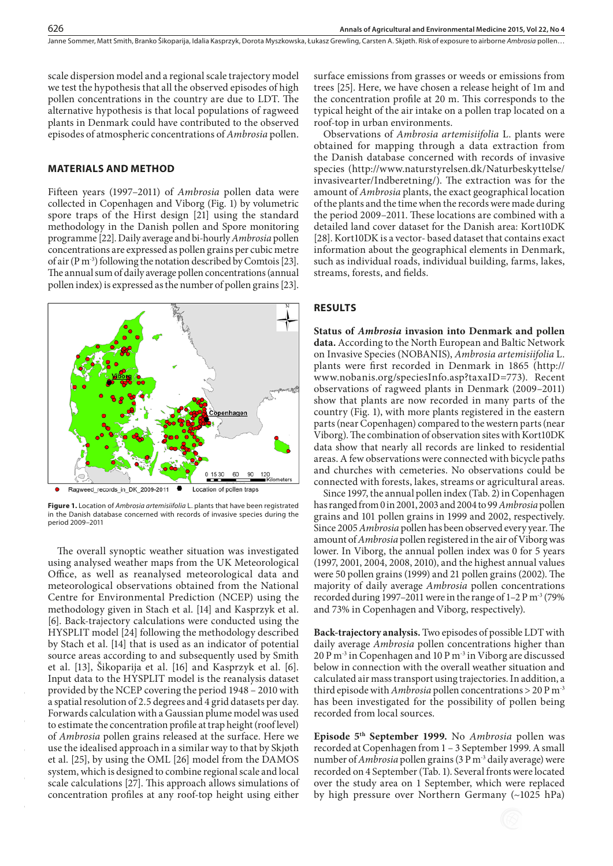Janne Sommer, Matt Smith, Branko Šikoparija, Idalia Kasprzyk, Dorota Myszkowska, Łukasz Grewling, Carsten A. Skjøth . Risk of exposure to airborne *Ambrosia* pollen…

scale dispersion model and a regional scale trajectory model we test the hypothesis that all the observed episodes of high pollen concentrations in the country are due to LDT. The alternative hypothesis is that local populations of ragweed plants in Denmark could have contributed to the observed episodes of atmospheric concentrations of *Ambrosia* pollen.

## **MATERIALS AND METHOD**

Fifteen years (1997–2011) of *Ambrosia* pollen data were collected in Copenhagen and Viborg (Fig. 1) by volumetric spore traps of the Hirst design [21] using the standard methodology in the Danish pollen and Spore monitoring programme [22]. Daily average and bi-hourly *Ambrosia* pollen concentrations are expressed as pollen grains per cubic metre of air (P m<sup>-3</sup>) following the notation described by Comtois [23]. The annual sum of daily average pollen concentrations (annual pollen index) is expressed as the number of pollen grains [23].



**Figure 1.** Location of *Ambrosia artemisiifolia* L. plants that have been registrated in the Danish database concerned with records of invasive species during the period 2009–2011

The overall synoptic weather situation was investigated using analysed weather maps from the UK Meteorological Office, as well as reanalysed meteorological data and meteorological observations obtained from the National Centre for Environmental Prediction (NCEP) using the methodology given in Stach et al. [14] and Kasprzyk et al. [6]. Back-trajectory calculations were conducted using the HYSPLIT model [24] following the methodology described by Stach et al. [14] that is used as an indicator of potential source areas according to and subsequently used by Smith et al. [13], Šikoparija et al. [16] and Kasprzyk et al. [6]. Input data to the HYSPLIT model is the reanalysis dataset provided by the NCEP covering the period 1948 – 2010 with a spatial resolution of 2.5 degrees and 4 grid datasets per day. Forwards calculation with a Gaussian plume model was used to estimate the concentration profile at trap height (roof level) of *Ambrosia* pollen grains released at the surface. Here we use the idealised approach in a similar way to that by Skjøth et al. [25], by using the OML [26] model from the DAMOS system, which is designed to combine regional scale and local scale calculations [27]. This approach allows simulations of concentration profiles at any roof-top height using either

surface emissions from grasses or weeds or emissions from trees [25]. Here, we have chosen a release height of 1m and the concentration profile at 20 m. This corresponds to the typical height of the air intake on a pollen trap located on a roof-top in urban environments.

Observations of *Ambrosia artemisiifolia* L. plants were obtained for mapping through a data extraction from the Danish database concerned with records of invasive species (http://www.naturstyrelsen.dk/Naturbeskyttelse/ invasivearter/Indberetning/). The extraction was for the amount of *Ambrosia* plants, the exact geographical location of the plants and the time when the records were made during the period 2009–2011. These locations are combined with a detailed land cover dataset for the Danish area: Kort10DK [28]. Kort10DK is a vector- based dataset that contains exact information about the geographical elements in Denmark, such as individual roads, individual building, farms, lakes, streams, forests, and fields.

#### **RESULTS**

**Status of** *Ambrosia* **invasion into Denmark and pollen data.** According to the North European and Baltic Network on Invasive Species (NOBANIS), *Ambrosia artemisiifolia* L. plants were first recorded in Denmark in 1865 (http:// www.nobanis.org/speciesInfo.asp?taxaID=773). Recent observations of ragweed plants in Denmark (2009–2011) show that plants are now recorded in many parts of the country (Fig. 1), with more plants registered in the eastern parts (near Copenhagen) compared to the western parts (near Viborg). The combination of observation sites with Kort10DK data show that nearly all records are linked to residential areas. A few observations were connected with bicycle paths and churches with cemeteries. No observations could be connected with forests, lakes, streams or agricultural areas.

Since 1997, the annual pollen index (Tab. 2) in Copenhagen has ranged from 0 in 2001, 2003 and 2004 to 99 *Ambrosia* pollen grains and 101 pollen grains in 1999 and 2002, respectively. Since 2005 *Ambrosia* pollen has been observed every year. The amount of *Ambrosia* pollen registered in the air of Viborg was lower. In Viborg, the annual pollen index was 0 for 5 years (1997, 2001, 2004, 2008, 2010), and the highest annual values were 50 pollen grains (1999) and 21 pollen grains (2002). The majority of daily average *Ambrosia* pollen concentrations recorded during 1997–2011 were in the range of  $1-2$  P m<sup>-3</sup> (79%) and 73% in Copenhagen and Viborg, respectively).

**Back-trajectory analysis.** Two episodes of possible LDT with daily average *Ambrosia* pollen concentrations higher than 20 P m-3 in Copenhagen and 10 P m-3 in Viborg are discussed below in connection with the overall weather situation and calculated air mass transport using trajectories. In addition, a third episode with *Ambrosia* pollen concentrations > 20 P m-3 has been investigated for the possibility of pollen being recorded from local sources.

**Episode 5th September 1999.** No *Ambrosia* pollen was recorded at Copenhagen from 1 – 3 September 1999. A small number of *Ambrosia* pollen grains (3 P m-3 daily average) were recorded on 4 September (Tab. 1). Several fronts were located over the study area on 1 September, which were replaced by high pressure over Northern Germany (~1025 hPa)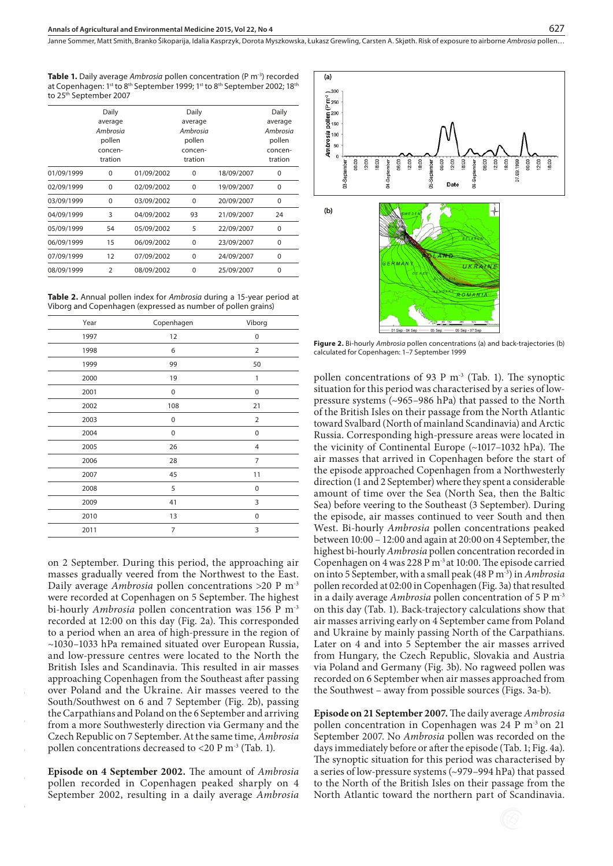Janne Sommer, Matt Smith, Branko Šikoparija, Idalia Kasprzyk, Dorota Myszkowska, Łukasz Grewling, Carsten A. Skjøth, Risk of exposure to airborne Ambrosia pollen…

**Table 1.** Daily average *Ambrosia* pollen concentration (P m<sup>-3</sup>) recorded at Copenhagen: 1st to 8th September 1999; 1st to 8th September 2002; 18th to 25th September 2007

|            | Daily<br>average<br>Ambrosia<br>pollen<br>concen-<br>tration |            | Daily<br>average<br>Ambrosia<br>pollen<br>concen-<br>tration |            | Daily<br>average<br>Ambrosia<br>pollen<br>concen-<br>tration |
|------------|--------------------------------------------------------------|------------|--------------------------------------------------------------|------------|--------------------------------------------------------------|
| 01/09/1999 | 0                                                            | 01/09/2002 | $\Omega$                                                     | 18/09/2007 | 0                                                            |
| 02/09/1999 | 0                                                            | 02/09/2002 | $\Omega$                                                     | 19/09/2007 | 0                                                            |
| 03/09/1999 | $\Omega$                                                     | 03/09/2002 | $\Omega$                                                     | 20/09/2007 | 0                                                            |
| 04/09/1999 | 3                                                            | 04/09/2002 | 93                                                           | 21/09/2007 | 24                                                           |
| 05/09/1999 | 54                                                           | 05/09/2002 | 5                                                            | 22/09/2007 | $\Omega$                                                     |
| 06/09/1999 | 15                                                           | 06/09/2002 | $\mathbf 0$                                                  | 23/09/2007 | 0                                                            |
| 07/09/1999 | 12                                                           | 07/09/2002 | $\Omega$                                                     | 24/09/2007 | 0                                                            |
| 08/09/1999 | $\mathcal{P}$                                                | 08/09/2002 | $\Omega$                                                     | 25/09/2007 | $\Omega$                                                     |

**Table 2.** Annual pollen index for *Ambrosia* during a 15-year period at Viborg and Copenhagen (expressed as number of pollen grains)

| Year | Copenhagen  | Viborg         |
|------|-------------|----------------|
| 1997 | 12          | $\mathbf 0$    |
| 1998 | 6           | $\overline{2}$ |
| 1999 | 99          | 50             |
| 2000 | 19          | 1              |
| 2001 | $\mathbf 0$ | $\mathbf 0$    |
| 2002 | 108         | 21             |
| 2003 | 0           | $\overline{2}$ |
| 2004 | 0           | 0              |
| 2005 | 26          | $\overline{4}$ |
| 2006 | 28          | 7              |
| 2007 | 45          | 11             |
| 2008 | 5           | $\mathbf 0$    |
| 2009 | 41          | 3              |
| 2010 | 13          | 0              |
| 2011 | 7           | 3              |

on 2 September. During this period, the approaching air masses gradually veered from the Northwest to the East. Daily average *Ambrosia* pollen concentrations >20 P m-3 were recorded at Copenhagen on 5 September. The highest bi-hourly *Ambrosia* pollen concentration was 156 P m-3 recorded at 12:00 on this day (Fig. 2a). This corresponded to a period when an area of high-pressure in the region of ~1030–1033 hPa remained situated over European Russia, and low-pressure centres were located to the North the British Isles and Scandinavia. This resulted in air masses approaching Copenhagen from the Southeast after passing over Poland and the Ukraine. Air masses veered to the South/Southwest on 6 and 7 September (Fig. 2b), passing the Carpathians and Poland on the 6 September and arriving from a more Southwesterly direction via Germany and the Czech Republic on 7 September. At the same time, *Ambrosia*  pollen concentrations decreased to <20 P m<sup>-3</sup> (Tab. 1).

**Episode on 4 September 2002.** The amount of *Ambrosia*  pollen recorded in Copenhagen peaked sharply on 4 September 2002, resulting in a daily average *Ambrosia*



**Figure 2.** Bi-hourly *Ambrosia* pollen concentrations (a) and back-trajectories (b) calculated for Copenhagen: 1–7 September 1999

pollen concentrations of 93 P  $m<sup>-3</sup>$  (Tab. 1). The synoptic situation for this period was characterised by a series of lowpressure systems (~965–986 hPa) that passed to the North of the British Isles on their passage from the North Atlantic toward Svalbard (North of mainland Scandinavia) and Arctic Russia. Corresponding high-pressure areas were located in the vicinity of Continental Europe (~1017–1032 hPa). The air masses that arrived in Copenhagen before the start of the episode approached Copenhagen from a Northwesterly direction (1 and 2 September) where they spent a considerable amount of time over the Sea (North Sea, then the Baltic Sea) before veering to the Southeast (3 September). During the episode, air masses continued to veer South and then West. Bi-hourly *Ambrosia* pollen concentrations peaked between 10:00 – 12:00 and again at 20:00 on 4 September, the highest bi-hourly *Ambrosia* pollen concentration recorded in Copenhagen on 4 was 228 P m-3 at 10:00. The episode carried on into 5 September, with a small peak (48 P m-3) in *Ambrosia* pollen recorded at 02:00 in Copenhagen (Fig. 3a) that resulted in a daily average *Ambrosia* pollen concentration of 5 P m-3 on this day (Tab. 1). Back-trajectory calculations show that air masses arriving early on 4 September came from Poland and Ukraine by mainly passing North of the Carpathians. Later on 4 and into 5 September the air masses arrived from Hungary, the Czech Republic, Slovakia and Austria via Poland and Germany (Fig. 3b). No ragweed pollen was recorded on 6 September when air masses approached from the Southwest – away from possible sources (Figs. 3a-b).

**Episode on 21 September 2007.**The daily average *Ambrosia*  pollen concentration in Copenhagen was 24 P m-3 on 21 September 2007. No *Ambrosia* pollen was recorded on the days immediately before or after the episode (Tab. 1; Fig. 4a). The synoptic situation for this period was characterised by a series of low-pressure systems (~979–994 hPa) that passed to the North of the British Isles on their passage from the North Atlantic toward the northern part of Scandinavia.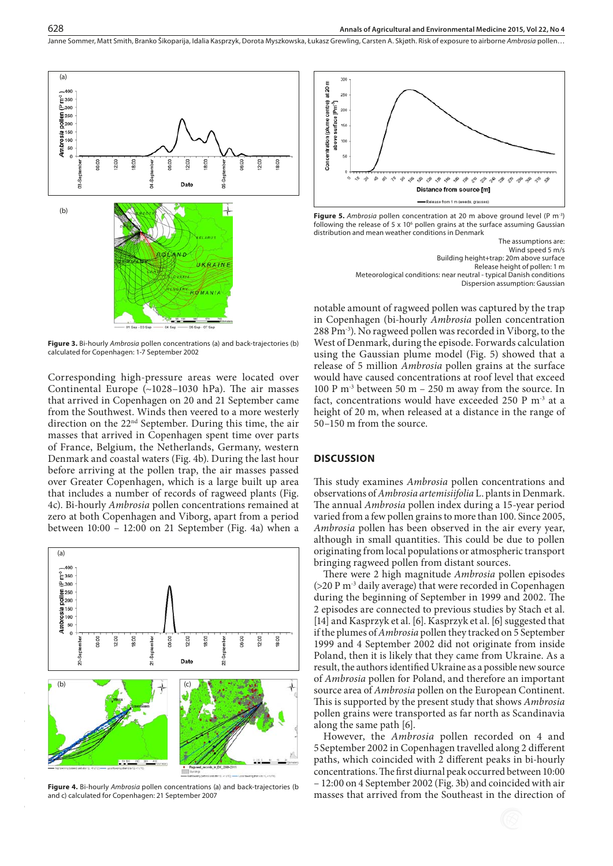Janne Sommer, Matt Smith, Branko Šikoparija, Idalia Kasprzyk, Dorota Myszkowska, Łukasz Grewling, Carsten A. Skjøth . Risk of exposure to airborne *Ambrosia* pollen…



**Figure 3.** Bi-hourly *Ambrosia* pollen concentrations (a) and back-trajectories (b) calculated for Copenhagen: 1-7 September 2002

Corresponding high-pressure areas were located over Continental Europe (~1028–1030 hPa). The air masses that arrived in Copenhagen on 20 and 21 September came from the Southwest. Winds then veered to a more westerly direction on the 22nd September. During this time, the air masses that arrived in Copenhagen spent time over parts of France, Belgium, the Netherlands, Germany, western Denmark and coastal waters (Fig. 4b). During the last hour before arriving at the pollen trap, the air masses passed over Greater Copenhagen, which is a large built up area that includes a number of records of ragweed plants (Fig. 4c). Bi-hourly *Ambrosia* pollen concentrations remained at zero at both Copenhagen and Viborg, apart from a period between 10:00 – 12:00 on 21 September (Fig. 4a) when a



**Figure 4.** Bi-hourly *Ambrosia* pollen concentrations (a) and back-trajectories (b and c) calculated for Copenhagen: 21 September 2007



**Figure 5.** *Ambrosia* pollen concentration at 20 m above ground level (P m-3) following the release of 5  $\times$  10<sup>6</sup> pollen grains at the surface assuming Gaussian distribution and mean weather conditions in Denmark

The assumptions are: Wind speed 5 m/s Building height+trap: 20m above surface Release height of pollen: 1 m Meteorological conditions: near neutral - typical Danish conditions Dispersion assumption: Gaussian

notable amount of ragweed pollen was captured by the trap in Copenhagen (bi-hourly *Ambrosia* pollen concentration 288 Pm-3). No ragweed pollen was recorded in Viborg, to the West of Denmark, during the episode. Forwards calculation using the Gaussian plume model (Fig. 5) showed that a release of 5 million *Ambrosia* pollen grains at the surface would have caused concentrations at roof level that exceed 100 P m<sup>-3</sup> between 50 m – 250 m away from the source. In fact, concentrations would have exceeded 250 P m<sup>-3</sup> at a height of 20 m, when released at a distance in the range of 50–150 m from the source.

#### **DISCUSSION**

This study examines *Ambrosia* pollen concentrations and observations of *Ambrosia artemisiifolia* L. plants in Denmark. The annual *Ambrosia* pollen index during a 15-year period varied from a few pollen grains to more than 100. Since 2005, *Ambrosia* pollen has been observed in the air every year, although in small quantities. This could be due to pollen originating from local populations or atmospheric transport bringing ragweed pollen from distant sources.

There were 2 high magnitude *Ambrosia* pollen episodes (>20 P m-3 daily average) that were recorded in Copenhagen during the beginning of September in 1999 and 2002. The 2 episodes are connected to previous studies by Stach et al. [14] and Kasprzyk et al. [6]. Kasprzyk et al. [6] suggested that if the plumes of *Ambrosia* pollen they tracked on 5 September 1999 and 4 September 2002 did not originate from inside Poland, then it is likely that they came from Ukraine. As a result, the authors identified Ukraine as a possible new source of *Ambrosia* pollen for Poland, and therefore an important source area of *Ambrosia* pollen on the European Continent. This is supported by the present study that shows *Ambrosia*  pollen grains were transported as far north as Scandinavia along the same path [6].

However, the *Ambrosia* pollen recorded on 4 and 5September 2002 in Copenhagen travelled along 2 different paths, which coincided with 2 different peaks in bi-hourly concentrations. The first diurnal peak occurred between 10:00 – 12:00 on 4 September 2002 (Fig. 3b) and coincided with air masses that arrived from the Southeast in the direction of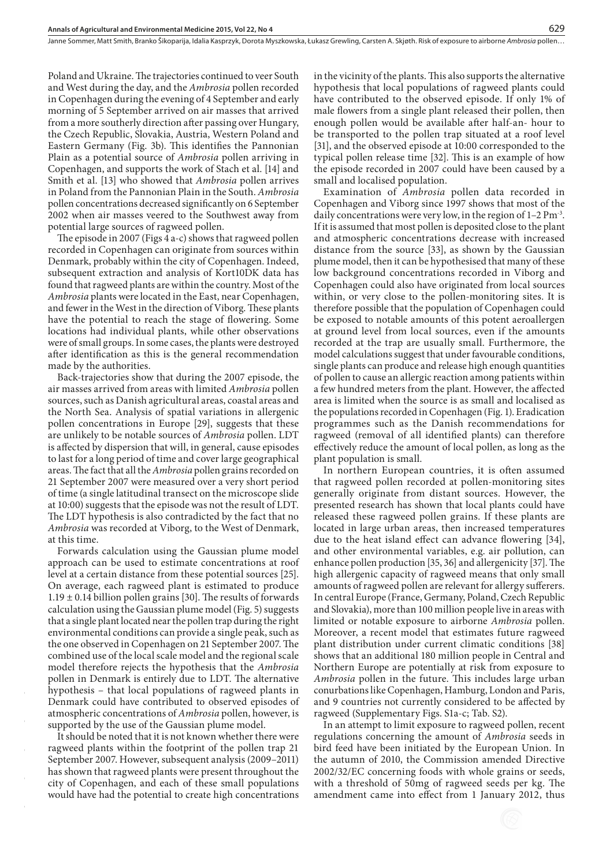Poland and Ukraine. The trajectories continued to veer South and West during the day, and the *Ambrosia* pollen recorded in Copenhagen during the evening of 4 September and early morning of 5 September arrived on air masses that arrived from a more southerly direction after passing over Hungary, the Czech Republic, Slovakia, Austria, Western Poland and Eastern Germany (Fig. 3b). This identifies the Pannonian Plain as a potential source of *Ambrosia* pollen arriving in Copenhagen, and supports the work of Stach et al. [14] and Smith et al. [13] who showed that *Ambrosia* pollen arrives in Poland from the Pannonian Plain in the South. *Ambrosia*  pollen concentrations decreased significantly on 6 September 2002 when air masses veered to the Southwest away from potential large sources of ragweed pollen.

The episode in 2007 (Figs 4 a-c) shows that ragweed pollen recorded in Copenhagen can originate from sources within Denmark, probably within the city of Copenhagen. Indeed, subsequent extraction and analysis of Kort10DK data has found that ragweed plants are within the country. Most of the *Ambrosia* plants were located in the East, near Copenhagen, and fewer in the West in the direction of Viborg. These plants have the potential to reach the stage of flowering. Some locations had individual plants, while other observations were of small groups. In some cases, the plants were destroyed after identification as this is the general recommendation made by the authorities.

Back-trajectories show that during the 2007 episode, the air masses arrived from areas with limited *Ambrosia* pollen sources, such as Danish agricultural areas, coastal areas and the North Sea. Analysis of spatial variations in allergenic pollen concentrations in Europe [29], suggests that these are unlikely to be notable sources of *Ambrosia* pollen. LDT is affected by dispersion that will, in general, cause episodes to last for a long period of time and cover large geographical areas. The fact that all the *Ambrosia* pollen grains recorded on 21 September 2007 were measured over a very short period of time (a single latitudinal transect on the microscope slide at 10:00) suggests that the episode was not the result of LDT. The LDT hypothesis is also contradicted by the fact that no *Ambrosia* was recorded at Viborg, to the West of Denmark, at this time.

Forwards calculation using the Gaussian plume model approach can be used to estimate concentrations at roof level at a certain distance from these potential sources [25]. On average, each ragweed plant is estimated to produce  $1.19 \pm 0.14$  billion pollen grains [30]. The results of forwards calculation using the Gaussian plume model (Fig. 5) suggests that a single plant located near the pollen trap during the right environmental conditions can provide a single peak, such as the one observed in Copenhagen on 21 September 2007. The combined use of the local scale model and the regional scale model therefore rejects the hypothesis that the *Ambrosia* pollen in Denmark is entirely due to LDT. The alternative hypothesis – that local populations of ragweed plants in Denmark could have contributed to observed episodes of atmospheric concentrations of *Ambrosia* pollen, however, is supported by the use of the Gaussian plume model.

It should be noted that it is not known whether there were ragweed plants within the footprint of the pollen trap 21 September 2007. However, subsequent analysis (2009–2011) has shown that ragweed plants were present throughout the city of Copenhagen, and each of these small populations would have had the potential to create high concentrations in the vicinity of the plants. This also supports the alternative hypothesis that local populations of ragweed plants could have contributed to the observed episode. If only 1% of male flowers from a single plant released their pollen, then enough pollen would be available after half-an- hour to be transported to the pollen trap situated at a roof level [31], and the observed episode at 10:00 corresponded to the typical pollen release time [32]. This is an example of how the episode recorded in 2007 could have been caused by a small and localised population.

629

Examination of *Ambrosia* pollen data recorded in Copenhagen and Viborg since 1997 shows that most of the daily concentrations were very low, in the region of 1–2 Pm-3. If it is assumed that most pollen is deposited close to the plant and atmospheric concentrations decrease with increased distance from the source [33], as shown by the Gaussian plume model, then it can be hypothesised that many of these low background concentrations recorded in Viborg and Copenhagen could also have originated from local sources within, or very close to the pollen-monitoring sites. It is therefore possible that the population of Copenhagen could be exposed to notable amounts of this potent aeroallergen at ground level from local sources, even if the amounts recorded at the trap are usually small. Furthermore, the model calculations suggest that under favourable conditions, single plants can produce and release high enough quantities of pollen to cause an allergic reaction among patients within a few hundred meters from the plant. However, the affected area is limited when the source is as small and localised as the populations recorded in Copenhagen (Fig. 1). Eradication programmes such as the Danish recommendations for ragweed (removal of all identified plants) can therefore effectively reduce the amount of local pollen, as long as the plant population is small.

In northern European countries, it is often assumed that ragweed pollen recorded at pollen-monitoring sites generally originate from distant sources. However, the presented research has shown that local plants could have released these ragweed pollen grains. If these plants are located in large urban areas, then increased temperatures due to the heat island effect can advance flowering [34], and other environmental variables, e.g. air pollution, can enhance pollen production [35, 36] and allergenicity [37]. The high allergenic capacity of ragweed means that only small amounts of ragweed pollen are relevant for allergy sufferers. In central Europe (France, Germany, Poland, Czech Republic and Slovakia), more than 100 million people live in areas with limited or notable exposure to airborne *Ambrosia* pollen. Moreover, a recent model that estimates future ragweed plant distribution under current climatic conditions [38] shows that an additional 180 million people in Central and Northern Europe are potentially at risk from exposure to *Ambrosia* pollen in the future. This includes large urban conurbations like Copenhagen, Hamburg, London and Paris, and 9 countries not currently considered to be affected by ragweed (Supplementary Figs. S1a-c; Tab. S2).

In an attempt to limit exposure to ragweed pollen, recent regulations concerning the amount of *Ambrosia* seeds in bird feed have been initiated by the European Union. In the autumn of 2010, the Commission amended Directive 2002/32/EC concerning foods with whole grains or seeds, with a threshold of 50mg of ragweed seeds per kg. The amendment came into effect from 1 January 2012, thus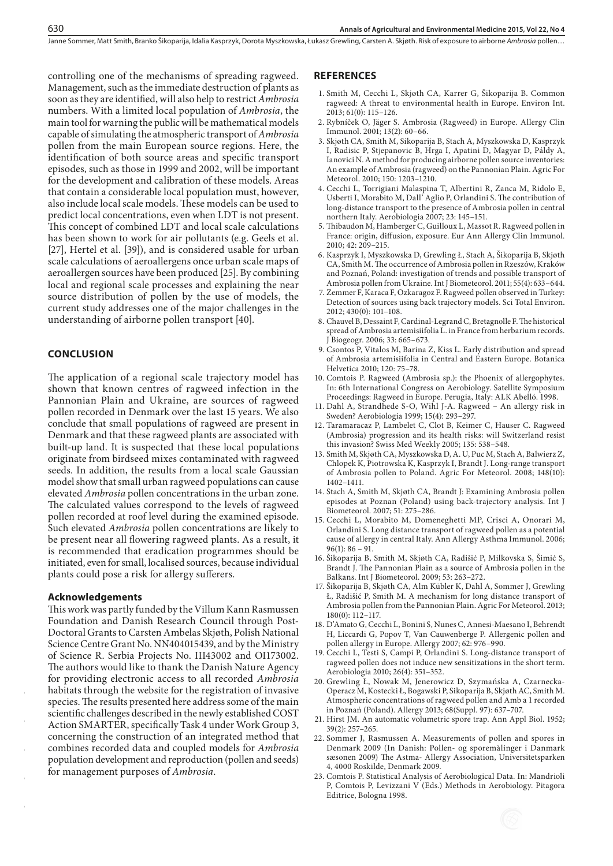controlling one of the mechanisms of spreading ragweed. Management, such as the immediate destruction of plants as soon as they are identified, will also help to restrict *Ambrosia* numbers. With a limited local population of *Ambrosia*, the main tool for warning the public will be mathematical models capable of simulating the atmospheric transport of *Ambrosia* pollen from the main European source regions. Here, the identification of both source areas and specific transport episodes, such as those in 1999 and 2002, will be important for the development and calibration of these models. Areas that contain a considerable local population must, however, also include local scale models. These models can be used to predict local concentrations, even when LDT is not present. This concept of combined LDT and local scale calculations has been shown to work for air pollutants (e.g. Geels et al. [27], Hertel et al. [39]), and is considered usable for urban scale calculations of aeroallergens once urban scale maps of aeroallergen sources have been produced [25]. By combining local and regional scale processes and explaining the near source distribution of pollen by the use of models, the current study addresses one of the major challenges in the understanding of airborne pollen transport [40].

#### **CONCLUSION**

630

The application of a regional scale trajectory model has shown that known centres of ragweed infection in the Pannonian Plain and Ukraine, are sources of ragweed pollen recorded in Denmark over the last 15 years. We also conclude that small populations of ragweed are present in Denmark and that these ragweed plants are associated with built-up land. It is suspected that these local populations originate from birdseed mixes contaminated with ragweed seeds. In addition, the results from a local scale Gaussian model show that small urban ragweed populations can cause elevated *Ambrosia* pollen concentrations in the urban zone. The calculated values correspond to the levels of ragweed pollen recorded at roof level during the examined episode. Such elevated *Ambrosia* pollen concentrations are likely to be present near all flowering ragweed plants. As a result, it is recommended that eradication programmes should be initiated, even for small, localised sources, because individual plants could pose a risk for allergy sufferers.

#### **Acknowledgements**

This work was partly funded by the Villum Kann Rasmussen Foundation and Danish Research Council through Post-Doctoral Grants to Carsten Ambelas Skjøth, Polish National Science Centre Grant No. NN404015439, and by the Ministry of Science R. Serbia Projects No. III43002 and OI173002. The authors would like to thank the Danish Nature Agency for providing electronic access to all recorded *Ambrosia* habitats through the website for the registration of invasive species. The results presented here address some of the main scientific challenges described in the newly established COST Action SMARTER, specifically Task 4 under Work Group 3, concerning the construction of an integrated method that combines recorded data and coupled models for *Ambrosia* population development and reproduction (pollen and seeds) for management purposes of *Ambrosia*.

#### **REFERENCES**

- 1. Smith M, Cecchi L, Skjøth CA, Karrer G, Šikoparija B. Common ragweed: A threat to environmental health in Europe. Environ Int. 2013; 61(0): 115–126.
- 2. Rybníček O, Jäger S. Ambrosia (Ragweed) in Europe. Allergy Clin Immunol. 2001; 13(2): 60–66.
- 3. Skjøth CA, Smith M, Sikoparija B, Stach A, Myszkowska D, Kasprzyk I, Radisic P, Stjepanovic B, Hrga I, Apatini D, Magyar D, Páldy A, Ianovici N. A method for producing airborne pollen source inventories: An example of Ambrosia (ragweed) on the Pannonian Plain. Agric For Meteorol. 2010; 150: 1203–1210.
- 4. Cecchi L, Torrigiani Malaspina T, Albertini R, Zanca M, Ridolo E, Usberti I, Morabito M, Dall' Aglio P, Orlandini S. The contribution of long-distance transport to the presence of Ambrosia pollen in central northern Italy. Aerobiologia 2007; 23: 145–151.
- 5. Thibaudon M, Hamberger C, Guilloux L, Massot R. Ragweed pollen in France: origin, diffusion, exposure. Eur Ann Allergy Clin Immunol. 2010; 42: 209–215.
- 6. Kasprzyk I, Myszkowska D, Grewling Ł, Stach A, Šikoparija B, Skjøth CA, Smith M. The occurrence of Ambrosia pollen in Rzeszów, Kraków and Poznań, Poland: investigation of trends and possible transport of Ambrosia pollen from Ukraine. Int J Biometeorol. 2011; 55(4): 633–644.
- 7. Zemmer F, Karaca F, Ozkaragoz F. Ragweed pollen observed in Turkey: Detection of sources using back trajectory models. Sci Total Environ. 2012; 430(0): 101–108.
- 8. Chauvel B, Dessaint F, Cardinal-Legrand C, Bretagnolle F. The historical spread of Ambrosia artemisiifolia L. in France from herbarium records. J Biogeogr. 2006; 33: 665–673.
- 9. Csontos P, Vitalos M, Barina Z, Kiss L. Early distribution and spread of Ambrosia artemisiifolia in Central and Eastern Europe. Botanica Helvetica 2010; 120: 75–78.
- 10. Comtois P. Ragweed (Ambrosia sp.): the Phoenix of allergophytes. In: 6th International Congress on Aerobiology. Satellite Symposium Proceedings: Ragweed in Europe. Perugia, Italy: ALK Abelló. 1998.
- 11. Dahl A, Strandhede S-O, Wihl J-A. Ragweed An allergy risk in Sweden? Aerobiologia 1999; 15(4): 293–297.
- 12. Taramaracaz P, Lambelet C, Clot B, Keimer C, Hauser C. Ragweed (Ambrosia) progression and its health risks: will Switzerland resist this invasion? Swiss Med Weekly 2005; 135: 538–548.
- 13. Smith M, Skjøth CA, Myszkowska D, A. U, Puc M, Stach A, Balwierz Z, Chlopek K, Piotrowska K, Kasprzyk I, Brandt J. Long-range transport of Ambrosia pollen to Poland. Agric For Meteorol. 2008; 148(10): 1402–1411.
- 14. Stach A, Smith M, Skjøth CA, Brandt J: Examining Ambrosia pollen episodes at Poznan (Poland) using back-trajectory analysis. Int J Biometeorol. 2007; 51: 275–286.
- 15. Cecchi L, Morabito M, Domeneghetti MP, Crisci A, Onorari M, Orlandini S. Long distance transport of ragweed pollen as a potential cause of allergy in central Italy. Ann Allergy Asthma Immunol. 2006;  $96(1): 86 - 91.$
- 16. Šikoparija B, Smith M, Skjøth CA, Radišić P, Milkovska S, Šimić S, Brandt J. The Pannonian Plain as a source of Ambrosia pollen in the Balkans. Int J Biometeorol. 2009; 53: 263–272.
- 17. Šikoparija B, Skjøth CA, Alm Kübler K, Dahl A, Sommer J, Grewling Ł, Radišić P, Smith M. A mechanism for long distance transport of Ambrosia pollen from the Pannonian Plain. Agric For Meteorol. 2013; 180(0): 112–117.
- 18. D'Amato G, Cecchi L, Bonini S, Nunes C, Annesi-Maesano I, Behrendt H, Liccardi G, Popov T, Van Cauwenberge P. Allergenic pollen and pollen allergy in Europe. Allergy 2007; 62: 976–990.
- 19. Cecchi L, Testi S, Campi P, Orlandini S. Long-distance transport of ragweed pollen does not induce new sensitizations in the short term. Aerobiologia 2010; 26(4): 351–352.
- 20. Grewling Ł, Nowak M, Jenerowicz D, Szymańska A, Czarnecka-Operacz M, Kostecki Ł, Bogawski P, Sikoparija B, Skjøth AC, Smith M. Atmospheric concentrations of ragweed pollen and Amb a 1 recorded in Poznań (Poland). Allergy 2013; 68(Suppl. 97): 637–707.
- 21. Hirst JM. An automatic volumetric spore trap. Ann Appl Biol. 1952; 39(2): 257–265.
- 22. Sommer J, Rasmussen A. Measurements of pollen and spores in Denmark 2009 (In Danish: Pollen- og sporemålinger i Danmark sæsonen 2009) The Astma- Allergy Association, Universitetsparken 4, 4000 Roskilde, Denmark 2009.
- 23. Comtois P. Statistical Analysis of Aerobiological Data. In: Mandrioli P, Comtois P, Levizzani V (Eds.) Methods in Aerobiology. Pitagora Editrice, Bologna 1998.